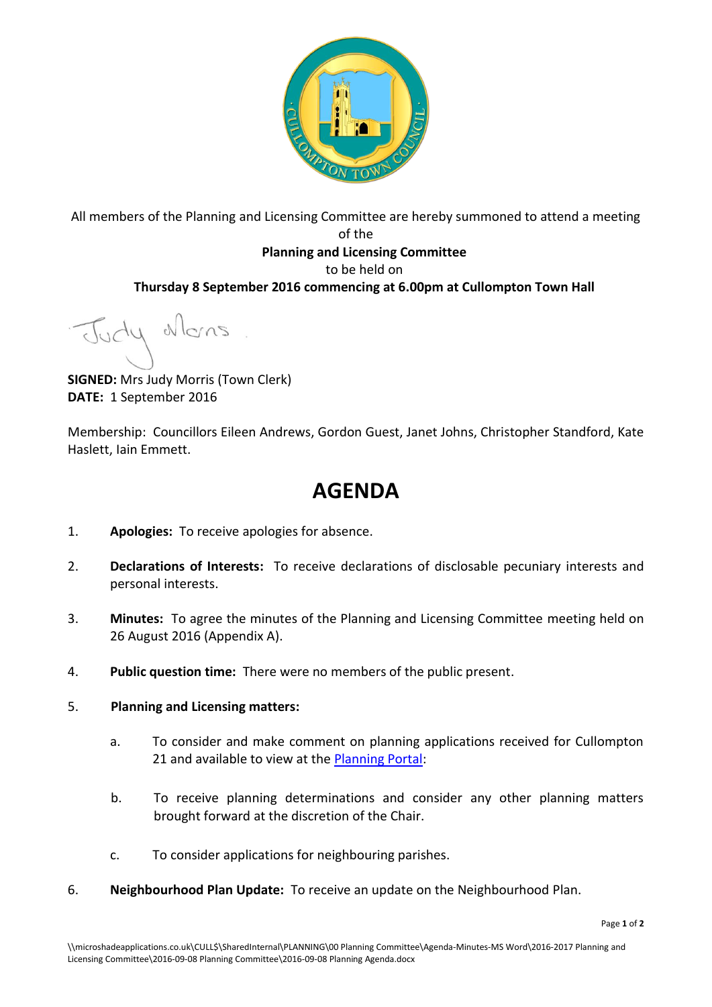

All members of the Planning and Licensing Committee are hereby summoned to attend a meeting of the **Planning and Licensing Committee** to be held on **Thursday 8 September 2016 commencing at 6.00pm at Cullompton Town Hall**

Judy Mons

**SIGNED:** Mrs Judy Morris (Town Clerk) **DATE:** 1 September 2016

Membership: Councillors Eileen Andrews, Gordon Guest, Janet Johns, Christopher Standford, Kate Haslett, Iain Emmett.

## **AGENDA**

- 1. **Apologies:** To receive apologies for absence.
- 2. **Declarations of Interests:** To receive declarations of disclosable pecuniary interests and personal interests.
- 3. **Minutes:** To agree the minutes of the Planning and Licensing Committee meeting held on 26 August 2016 (Appendix A).
- 4. **Public question time:** There were no members of the public present.
- 5. **Planning and Licensing matters:**
	- a. To consider and make comment on planning applications received for Cullompton 21 and available to view at the [Planning Portal:](http://planning.middevon.gov.uk/online-applications/refineSearch.do?action=refine)
	- b. To receive planning determinations and consider any other planning matters brought forward at the discretion of the Chair.
	- c. To consider applications for neighbouring parishes.
- 6. **Neighbourhood Plan Update:** To receive an update on the Neighbourhood Plan.